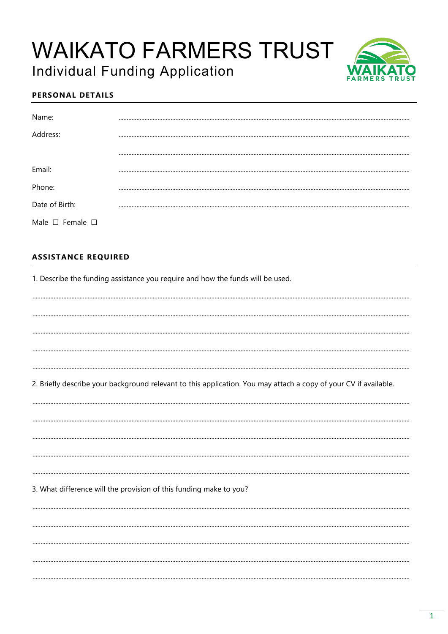# **WAIKATO FARMERS TRUST Individual Funding Application**

### **PERSONAL DETAILS**

| Name:                           |  |
|---------------------------------|--|
| Address:                        |  |
|                                 |  |
| Email:                          |  |
| Phone:                          |  |
| Date of Birth:                  |  |
| Male $\square$ Female $\square$ |  |

#### **ASSISTANCE REQUIRED**

1. Describe the funding assistance you require and how the funds will be used.

2. Briefly describe your background relevant to this application. You may attach a copy of your CV if available.

3. What difference will the provision of this funding make to you?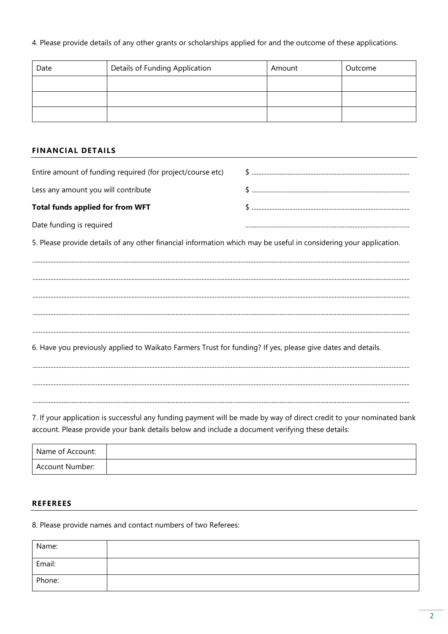4. Please provide details of any other grants or scholarships applied for and the outcome of these applications.

| Date | Details of Funding Application | Amount | Outcome |
|------|--------------------------------|--------|---------|
|      |                                |        |         |
|      |                                |        |         |
|      |                                |        |         |

#### **FINANCIAL DETAILS**

| Entire amount of funding required (for project/course etc) |  |
|------------------------------------------------------------|--|
| Less any amount you will contribute                        |  |
| <b>Total funds applied for from WFT</b>                    |  |
| Date funding is required                                   |  |

5. Please provide details of any other financial information which may be useful in considering your application.

6. Have you previously applied to Waikato Farmers Trust for funding? If yes, please give dates and details.

7. If your application is successful any funding payment will be made by way of direct credit to your nominated bank account. Please provide your bank details below and include a document verifying these details:

| Name of Account: |  |
|------------------|--|
| Account Number:  |  |

#### **REFEREES**

8. Please provide names and contact numbers of two Referees:

| Name:  |  |
|--------|--|
| Email: |  |
| Phone: |  |